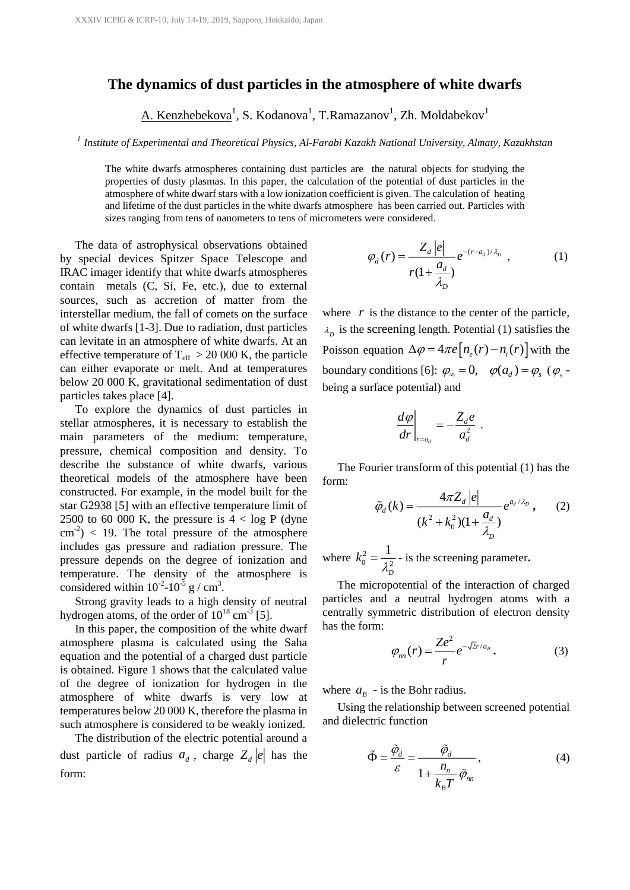## **The dynamics of dust particles in the atmosphere of white dwarfs**

<u>A. Kenzhebekova<sup>1</sup>,</u> S. Kodanova<sup>1</sup>, T.Ramazanov<sup>1</sup>, Zh. Moldabekov<sup>1</sup>

*1* <sup>P</sup> *Institute of Experimental and Theoretical Physics, Al-Farabi Kazakh National University, Almaty, Kazakhstan*

The white dwarfs atmospheres containing dust particles are the natural objects for studying the properties of dusty plasmas. In this paper, the calculation of the potential of dust particles in the atmosphere of white dwarf stars with a low ionization coefficient is given. The calculation of heating and lifetime of the dust particles in the white dwarfs atmosphere has been carried out. Particles with sizes ranging from tens of nanometers to tens of micrometers were considered.

The data of astrophysical observations obtained by special devices Spitzer Space Telescope and IRAC imager identify that white dwarfs atmospheres contain metals (C, Si, Fe, etc.), due to external sources, such as accretion of matter from the interstellar medium, the fall of comets on the surface of white dwarfs [1-3]. Due to radiation, dust particles can levitate in an atmosphere of white dwarfs. At an effective temperature of  $T_{\text{eff}} > 20000$  K, the particle can either evaporate or melt. And at temperatures below 20 000 K, gravitational sedimentation of dust particles takes place [4].

To explore the dynamics of dust particles in stellar atmospheres, it is necessary to establish the main parameters of the medium: temperature, pressure, chemical composition and density. To describe the substance of white dwarfs, various theoretical models of the atmosphere have been constructed. For example, in the model built for the star G2938 [5] with an effective temperature limit of 2500 to 60 000 K, the pressure is  $4 < log P$  (dyne  $\text{cm}^{-2}$ ) < 19. The total pressure of the atmosphere includes gas pressure and radiation pressure. The pressure depends on the degree of ionization and temperature. The density of the atmosphere is considered within  $10^{-2}$ - $10^{-5}$  g / cm<sup>3</sup>.

Strong gravity leads to a high density of neutral hydrogen atoms, of the order of  $10^{18}$  cm<sup>-3</sup> [5].

In this paper, the composition of the white dwarf atmosphere plasma is calculated using the Saha equation and the potential of a charged dust particle is obtained. Figure 1 shows that the calculated value of the degree of ionization for hydrogen in the atmosphere of white dwarfs is very low at temperatures below 20 000 K, therefore the plasma in such atmosphere is considered to be weakly ionized.

The distribution of the electric potential around a dust particle of radius  $a_d$ , charge  $Z_d |e|$  has the form:

$$
\varphi_d(r) = \frac{Z_d \left| e \right|}{r(1 + \frac{a_d}{\lambda_D})} e^{-(r - a_d)/\lambda_D} \quad , \tag{1}
$$

where  $r$  is the distance to the center of the particle,  $\lambda_{D}$  is the screening length. Potential (1) satisfies the Poisson equation  $\Delta \varphi = 4\pi e \left[ n_e(r) - n_i(r) \right]$  with the boundary conditions [6]:  $\varphi_{\infty} = 0$ ,  $\varphi(a_d) = \varphi_s$  ( $\varphi_s$ being a surface potential) and

$$
\left.\frac{d\varphi}{dr}\right|_{r=a_d} = -\frac{Z_d e}{a_d^2}.
$$

The Fourier transform of this potential (1) has the form:  $\mathbf{r}$ 

$$
\tilde{\varphi}_d(k) = \frac{4\pi Z_d |e|}{(k^2 + k_0^2)(1 + \frac{a_d}{\lambda_D})} e^{a_d/\lambda_D}, \qquad (2)
$$

where  $k_0^2$ 0  $2^{\circ}$  $k_0^2 = \frac{1}{2}$ *D*  $=\frac{1}{\lambda_{\rm p}^2}$  - is the screening parameter.

The micropotential of the interaction of charged particles and a neutral hydrogen atoms with a centrally symmetric distribution of electron density has the form:

$$
\varphi_{nn}(r) = \frac{Ze^2}{r} e^{-\sqrt{2}r/a_B} \,. \tag{3}
$$

where  $a<sub>B</sub>$  - is the Bohr radius.

Using the relationship between screened potential and dielectric function

$$
\tilde{\Phi} = \frac{\tilde{\varphi}_d}{\varepsilon} = \frac{\tilde{\varphi}_d}{1 + \frac{n_n}{k_B T} \tilde{\varphi}_m},
$$
\n(4)